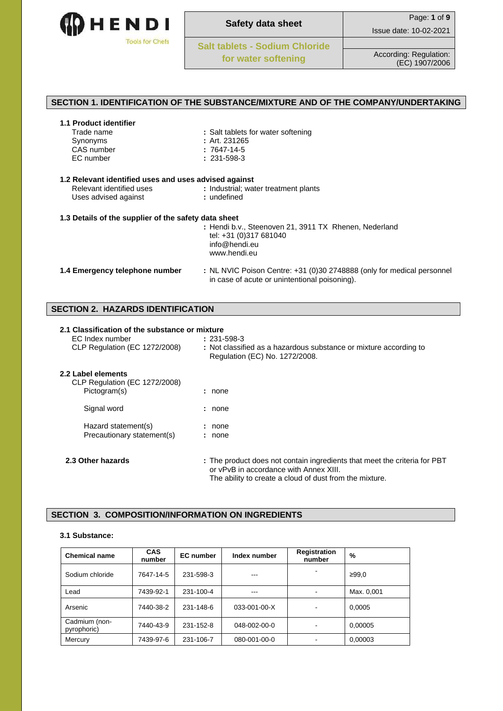

# **SECTION 1. IDENTIFICATION OF THE SUBSTANCE/MIXTURE AND OF THE COMPANY/UNDERTAKING**

| Trade name | : Salt tablets for water softening |
|------------|------------------------------------|
| Synonyms   | : Art. $231265$                    |
| CAS number | : 7647-14-5                        |
| EC number  | $: 231 - 598 - 3$                  |
|            |                                    |
|            |                                    |

| 1.2 Relevant identified uses and uses advised against<br>Relevant identified uses<br>Uses advised against | : Industrial; water treatment plants<br>: undefined                                                                     |
|-----------------------------------------------------------------------------------------------------------|-------------------------------------------------------------------------------------------------------------------------|
| 1.3 Details of the supplier of the safety data sheet                                                      |                                                                                                                         |
|                                                                                                           | : Hendi b.v., Steenoven 21, 3911 TX Rhenen, Nederland                                                                   |
|                                                                                                           | tel: +31 (0)317 681040                                                                                                  |
|                                                                                                           | info@hendi.eu                                                                                                           |
|                                                                                                           | www.hendi.eu                                                                                                            |
| 1.4 Emergency telephone number                                                                            | : NL NVIC Poison Centre: +31 (0)30 2748888 (only for medical personnel<br>in case of acute or unintentional poisoning). |

# **SECTION 2. HAZARDS IDENTIFICATION**

| 2.1 Classification of the substance or mixture             |                                                                                                                                                                                |
|------------------------------------------------------------|--------------------------------------------------------------------------------------------------------------------------------------------------------------------------------|
| EC Index number                                            | $: 231 - 598 - 3$                                                                                                                                                              |
| CLP Regulation (EC 1272/2008)                              | : Not classified as a hazardous substance or mixture according to<br>Regulation (EC) No. 1272/2008.                                                                            |
| 2.2 Label elements<br><b>CLP Regulation (EC 1272/2008)</b> |                                                                                                                                                                                |
| Pictogram(s)                                               | : none                                                                                                                                                                         |
| Signal word                                                | : none                                                                                                                                                                         |
| Hazard statement(s)                                        | : none                                                                                                                                                                         |
| Precautionary statement(s)                                 | : none                                                                                                                                                                         |
| 2.3 Other hazards                                          | : The product does not contain ingredients that meet the criteria for PBT<br>or vPvB in accordance with Annex XIII.<br>The ability to create a cloud of dust from the mixture. |

# **SECTION 3. COMPOSITION/INFORMATION ON INGREDIENTS**

# **3.1 Substance:**

| <b>Chemical name</b>         | <b>CAS</b><br>number | <b>EC</b> number | Index number | <b>Registration</b><br>number | %          |
|------------------------------|----------------------|------------------|--------------|-------------------------------|------------|
| Sodium chloride              | 7647-14-5            | 231-598-3        | ---          |                               | ≥99.0      |
| Lead                         | 7439-92-1            | 231-100-4        | ---          |                               | Max. 0,001 |
| Arsenic                      | 7440-38-2            | 231-148-6        | 033-001-00-X |                               | 0,0005     |
| Cadmium (non-<br>pyrophoric) | 7440-43-9            | 231-152-8        | 048-002-00-0 |                               | 0,00005    |
| Mercury                      | 7439-97-6            | 231-106-7        | 080-001-00-0 |                               | 0,00003    |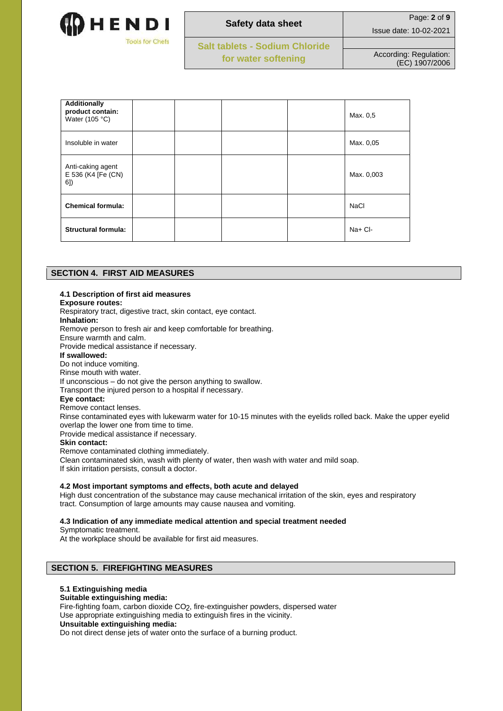

| <b>Safety data sheet</b>       | Page: 2 of 9                             |
|--------------------------------|------------------------------------------|
|                                | Issue date: 10-02-2021                   |
| Salt tablets - Sodium Chloride |                                          |
| for water softening            | According: Regulation:<br>(EC) 1907/2006 |

| <b>Additionally</b><br>product contain:<br>Water $(105 °C)$ |  |  | Max. 0.5    |
|-------------------------------------------------------------|--|--|-------------|
| Insoluble in water                                          |  |  | Max. 0,05   |
| Anti-caking agent<br>E 536 (K4 [Fe (CN)<br>6])              |  |  | Max. 0,003  |
| <b>Chemical formula:</b>                                    |  |  | <b>NaCl</b> |
| <b>Structural formula:</b>                                  |  |  | $Na+Cl-$    |

# **SECTION 4. FIRST AID MEASURES**

## **4.1 Description of first aid measures**

#### **Exposure routes:**

Respiratory tract, digestive tract, skin contact, eye contact.

**Inhalation:**

Remove person to fresh air and keep comfortable for breathing.

Ensure warmth and calm.

Provide medical assistance if necessary.

**If swallowed:**

Do not induce vomiting.

Rinse mouth with water.

If unconscious – do not give the person anything to swallow.

Transport the injured person to a hospital if necessary.

## **Eye contact:**

Remove contact lenses.

Rinse contaminated eyes with lukewarm water for 10-15 minutes with the eyelids rolled back. Make the upper eyelid overlap the lower one from time to time.

Provide medical assistance if necessary.

**Skin contact:**

Remove contaminated clothing immediately.

Clean contaminated skin, wash with plenty of water, then wash with water and mild soap.

If skin irritation persists, consult a doctor.

#### **4.2 Most important symptoms and effects, both acute and delayed**

High dust concentration of the substance may cause mechanical irritation of the skin, eyes and respiratory tract. Consumption of large amounts may cause nausea and vomiting.

#### **4.3 Indication of any immediate medical attention and special treatment needed**

Symptomatic treatment.

At the workplace should be available for first aid measures.

# **SECTION 5. FIREFIGHTING MEASURES**

#### **5.1 Extinguishing media**

#### **Suitable extinguishing media:**

Fire-fighting foam, carbon dioxide COշ, fire-extinguisher powders, dispersed water

Use appropriate extinguishing media to extinguish fires in the vicinity.

# **Unsuitable extinguishing media:**

Do not direct dense jets of water onto the surface of a burning product.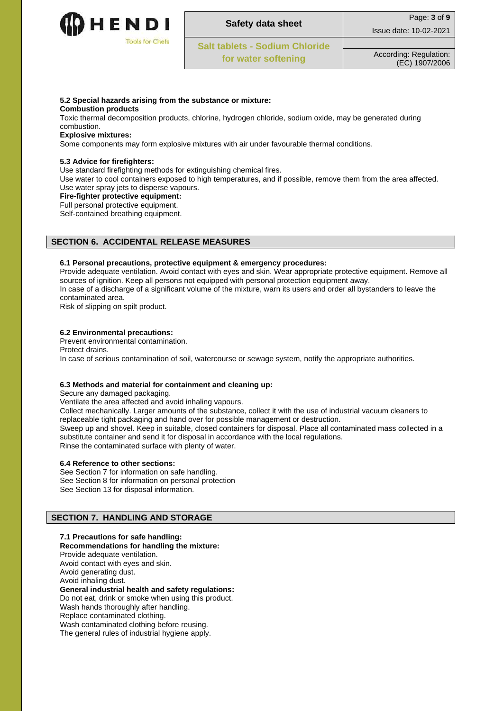

| <b>Safety data sheet</b>              | Page: 3 of 9                             |
|---------------------------------------|------------------------------------------|
|                                       | Issue date: 10-02-2021                   |
| <b>Salt tablets - Sodium Chloride</b> |                                          |
| for water softening                   | According: Regulation:<br>(EC) 1907/2006 |

#### **5.2 Special hazards arising from the substance or mixture:**

**Combustion products**

Toxic thermal decomposition products, chlorine, hydrogen chloride, sodium oxide, may be generated during combustion.

# **Explosive mixtures:**

Some components may form explosive mixtures with air under favourable thermal conditions.

## **5.3 Advice for firefighters:**

Use standard firefighting methods for extinguishing chemical fires.

Use water to cool containers exposed to high temperatures, and if possible, remove them from the area affected. Use water spray jets to disperse vapours.

#### **Fire-fighter protective equipment:**

Full personal protective equipment.

Self-contained breathing equipment.

# **SECTION 6. ACCIDENTAL RELEASE MEASURES**

#### **6.1 Personal precautions, protective equipment & emergency procedures:**

Provide adequate ventilation. Avoid contact with eyes and skin. Wear appropriate protective equipment. Remove all sources of ignition. Keep all persons not equipped with personal protection equipment away.

In case of a discharge of a significant volume of the mixture, warn its users and order all bystanders to leave the contaminated area.

Risk of slipping on spilt product.

# **6.2 Environmental precautions:**

Prevent environmental contamination. Protect drains. In case of serious contamination of soil, watercourse or sewage system, notify the appropriate authorities.

# **6.3 Methods and material for containment and cleaning up:**

Secure any damaged packaging.

Ventilate the area affected and avoid inhaling vapours.

Collect mechanically. Larger amounts of the substance, collect it with the use of industrial vacuum cleaners to replaceable tight packaging and hand over for possible management or destruction. Sweep up and shovel. Keep in suitable, closed containers for disposal. Place all contaminated mass collected in a substitute container and send it for disposal in accordance with the local regulations. Rinse the contaminated surface with plenty of water.

#### **6.4 Reference to other sections:**

See Section 7 for information on safe handling. See Section 8 for information on personal protection See Section 13 for disposal information.

# **SECTION 7. HANDLING AND STORAGE**

- **7.1 Precautions for safe handling:**
- **Recommendations for handling the mixture:** Provide adequate ventilation.

Avoid contact with eyes and skin.

Avoid generating dust.

Avoid inhaling dust.

#### **General industrial health and safety regulations:**

Do not eat, drink or smoke when using this product. Wash hands thoroughly after handling.

Replace contaminated clothing.

Wash contaminated clothing before reusing.

The general rules of industrial hygiene apply.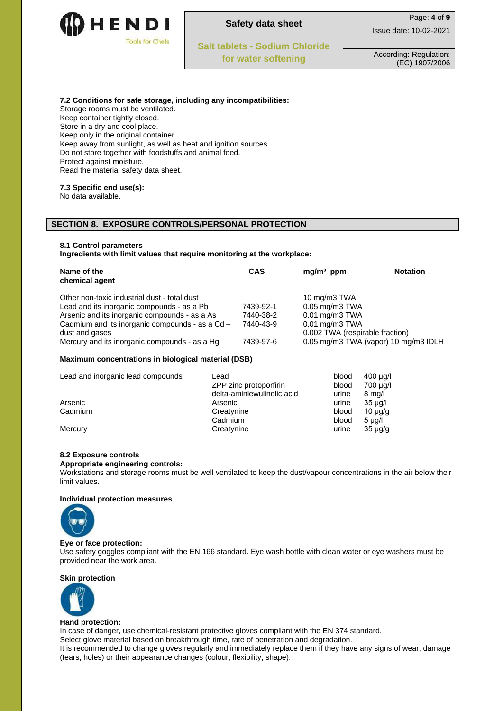

|                                | Page: 4 of 9                             |
|--------------------------------|------------------------------------------|
| <b>Safety data sheet</b>       | Issue date: 10-02-2021                   |
| Salt tablets - Sodium Chloride |                                          |
| for water softening            | According: Regulation:<br>(EC) 1907/2006 |

**7.2 Conditions for safe storage, including any incompatibilities:**

Storage rooms must be ventilated. Keep container tightly closed. Store in a dry and cool place. Keep only in the original container. Keep away from sunlight, as well as heat and ignition sources. Do not store together with foodstuffs and animal feed. Protect against moisture. Read the material safety data sheet.

#### **7.3 Specific end use(s):**

No data available.

# **SECTION 8. EXPOSURE CONTROLS/PERSONAL PROTECTION**

#### **8.1 Control parameters**

**Ingredients with limit values that require monitoring at the workplace:**

| Name of the<br>chemical agent                   | <b>CAS</b> | $mg/m3$ ppm                          | <b>Notation</b> |
|-------------------------------------------------|------------|--------------------------------------|-----------------|
| Other non-toxic industrial dust - total dust    |            | 10 mg/m3 TWA                         |                 |
| Lead and its inorganic compounds - as a Pb      | 7439-92-1  | $0.05$ mg/m $3$ TWA                  |                 |
| Arsenic and its inorganic compounds - as a As   | 7440-38-2  | $0.01$ mg/m $3$ TWA                  |                 |
| Cadmium and its inorganic compounds - as a Cd - | 7440-43-9  | $0.01$ mg/m $3$ TWA                  |                 |
| dust and gases                                  |            | 0.002 TWA (respirable fraction)      |                 |
| Mercury and its inorganic compounds - as a Hg   | 7439-97-6  | 0.05 mg/m3 TWA (vapor) 10 mg/m3 IDLH |                 |

### **Maximum concentrations in biological material (DSB)**

| Lead and inorganic lead compounds | Lead                       | blood | $400 \mu q/l$    |
|-----------------------------------|----------------------------|-------|------------------|
|                                   | ZPP zinc protoporfirin     | blood | 700 µg/l         |
|                                   | delta-aminlewulinolic acid | urine | $8 \text{ mg/l}$ |
| Arsenic                           | Arsenic                    | urine | $35 \mu q/l$     |
| Cadmium                           | Creatynine                 | blood | $10 \mu q/q$     |
|                                   | Cadmium                    | blood | $5 \mu q/l$      |
| Mercury                           | Creatynine                 | urine | $35 \mu q/q$     |

### **8.2 Exposure controls**

#### **Appropriate engineering controls:**

Workstations and storage rooms must be well ventilated to keep the dust/vapour concentrations in the air below their limit values.

#### **Individual protection measures**



#### **Eye or face protection:**

Use safety goggles compliant with the EN 166 standard. Eye wash bottle with clean water or eye washers must be provided near the work area.

#### **Skin protection**



#### **Hand protection:**

In case of danger, use chemical-resistant protective gloves compliant with the EN 374 standard. Select glove material based on breakthrough time, rate of penetration and degradation. It is recommended to change gloves regularly and immediately replace them if they have any signs of wear, damage (tears, holes) or their appearance changes (colour, flexibility, shape).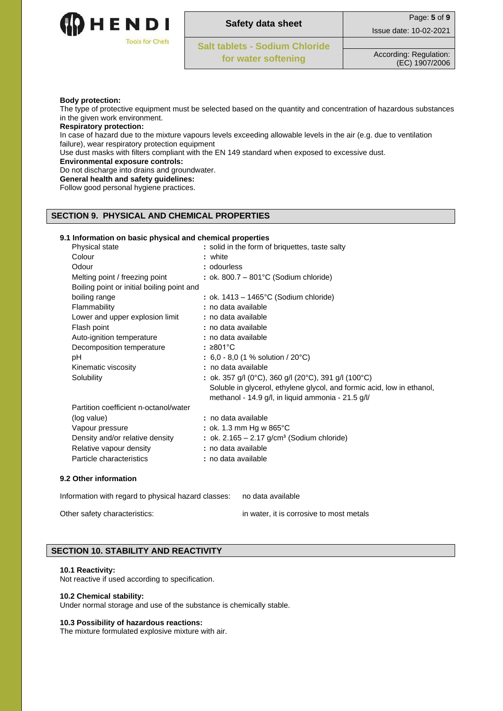

| <b>Safety data sheet</b>              | Page: 5 of 9                             |
|---------------------------------------|------------------------------------------|
|                                       | Issue date: 10-02-2021                   |
| <b>Salt tablets - Sodium Chloride</b> |                                          |
| for water softening                   | According: Regulation:<br>(EC) 1907/2006 |

#### **Body protection:**

The type of protective equipment must be selected based on the quantity and concentration of hazardous substances in the given work environment.

# **Respiratory protection:**

In case of hazard due to the mixture vapours levels exceeding allowable levels in the air (e.g. due to ventilation failure), wear respiratory protection equipment

Use dust masks with filters compliant with the EN 149 standard when exposed to excessive dust.

**Environmental exposure controls:**

Do not discharge into drains and groundwater.

**General health and safety guidelines:**

Follow good personal hygiene practices.

# **SECTION 9. PHYSICAL AND CHEMICAL PROPERTIES**

## **9.1 Information on basic physical and chemical properties**

| Physical state                             | : solid in the form of briquettes, taste salty                         |
|--------------------------------------------|------------------------------------------------------------------------|
| Colour                                     | : white                                                                |
| Odour                                      | : odourless                                                            |
| Melting point / freezing point             | : ok. 800.7 – 801 $^{\circ}$ C (Sodium chloride)                       |
| Boiling point or initial boiling point and |                                                                        |
| boiling range                              | : ok. $1413 - 1465$ °C (Sodium chloride)                               |
| Flammability                               | : no data available                                                    |
| Lower and upper explosion limit            | : no data available                                                    |
| Flash point                                | : no data available                                                    |
| Auto-ignition temperature                  | : no data available                                                    |
| Decomposition temperature                  | : ≥801°C                                                               |
| рH                                         | $: 6,0 - 8,0 (1 % solution / 20°C)$                                    |
| Kinematic viscosity                        | : no data available                                                    |
| Solubility                                 | : ok. 357 g/l (0°C), 360 g/l (20°C), 391 g/l (100°C)                   |
|                                            | Soluble in glycerol, ethylene glycol, and formic acid, low in ethanol, |
|                                            | methanol - 14.9 g/l, in liquid ammonia - 21.5 g/l/                     |
| Partition coefficient n-octanol/water      |                                                                        |
| (log value)                                | : no data available                                                    |
| Vapour pressure                            | : ok. 1.3 mm Hg w $865^{\circ}$ C                                      |
| Density and/or relative density            | : ok. $2.165 - 2.17$ g/cm <sup>3</sup> (Sodium chloride)               |
| Relative vapour density                    | : no data available                                                    |
| Particle characteristics                   | : no data available                                                    |
|                                            |                                                                        |
|                                            |                                                                        |

#### **9.2 Other information**

Information with regard to physical hazard classes: no data available Other safety characteristics: in water, it is corrosive to most metals

# **SECTION 10. STABILITY AND REACTIVITY**

#### **10.1 Reactivity:**

Not reactive if used according to specification.

#### **10.2 Chemical stability:**

Under normal storage and use of the substance is chemically stable.

#### **10.3 Possibility of hazardous reactions:**

The mixture formulated explosive mixture with air.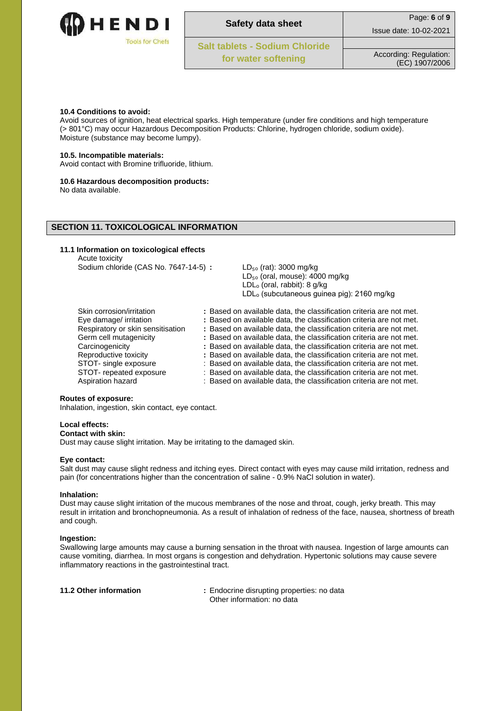

| ï<br>ì<br>ï<br>۰ | ×<br>÷<br>ï<br>÷<br>v.<br>ï<br>Ŷ.<br>ï | ś<br>٠<br>$\overline{\mathbb{R}}$<br>$\overline{\phantom{a}}$<br>٠<br>ž<br>ï | ż |
|------------------|----------------------------------------|------------------------------------------------------------------------------|---|
|                  |                                        |                                                                              |   |
|                  |                                        |                                                                              |   |

| Safety data sheet                     | Page: 6 of 9           |
|---------------------------------------|------------------------|
|                                       | Issue date: 10-02-2021 |
| <b>Salt tablets - Sodium Chloride</b> |                        |
|                                       |                        |

#### **10.4 Conditions to avoid:**

Avoid sources of ignition, heat electrical sparks. High temperature (under fire conditions and high temperature (> 801°C) may occur Hazardous Decomposition Products: Chlorine, hydrogen chloride, sodium oxide). Moisture (substance may become lumpy).

#### **10.5. Incompatible materials:**

Avoid contact with Bromine trifluoride, lithium.

#### **10.6 Hazardous decomposition products:**

No data available.

## **SECTION 11. TOXICOLOGICAL INFORMATION**

#### **11.1 Information on toxicological effects** Acute toxicity

Sodium chloride (CAS No. 7647-14-5) **:** LD<sub>re</sub> (rat): 3000 mg/kg

|                                   | בט קומו, סטטט וווס וק<br>$LD_{50}$ (oral, mouse): 4000 mg/kg<br>$LDLo$ (oral, rabbit): 8 g/kg<br>LDL <sub>o</sub> (subcutaneous guinea pig): 2160 mg/kg |
|-----------------------------------|---------------------------------------------------------------------------------------------------------------------------------------------------------|
| Skin corrosion/irritation         | : Based on available data, the classification criteria are not met.                                                                                     |
| Eye damage/ irritation            | : Based on available data, the classification criteria are not met.                                                                                     |
| Respiratory or skin sensitisation | : Based on available data, the classification criteria are not met.                                                                                     |
| Germ cell mutagenicity            | : Based on available data, the classification criteria are not met.                                                                                     |
| Carcinogenicity                   | : Based on available data, the classification criteria are not met.                                                                                     |
| Reproductive toxicity             | : Based on available data, the classification criteria are not met.                                                                                     |
| STOT- single exposure             | : Based on available data, the classification criteria are not met.                                                                                     |
| STOT- repeated exposure           | : Based on available data, the classification criteria are not met.                                                                                     |
| Aspiration hazard                 | : Based on available data, the classification criteria are not met.                                                                                     |

#### **Routes of exposure:**

Inhalation, ingestion, skin contact, eye contact.

#### **Local effects:**

## **Contact with skin:**

Dust may cause slight irritation. May be irritating to the damaged skin.

#### **Eye contact:**

Salt dust may cause slight redness and itching eyes. Direct contact with eyes may cause mild irritation, redness and pain (for concentrations higher than the concentration of saline - 0.9% NaCl solution in water).

#### **Inhalation:**

Dust may cause slight irritation of the mucous membranes of the nose and throat, cough, jerky breath. This may result in irritation and bronchopneumonia. As a result of inhalation of redness of the face, nausea, shortness of breath and cough.

#### **Ingestion:**

Swallowing large amounts may cause a burning sensation in the throat with nausea. Ingestion of large amounts can cause vomiting, diarrhea. In most organs is congestion and dehydration. Hypertonic solutions may cause severe inflammatory reactions in the gastrointestinal tract.

**11.2 Other information :** Endocrine disrupting properties: no data Other information: no data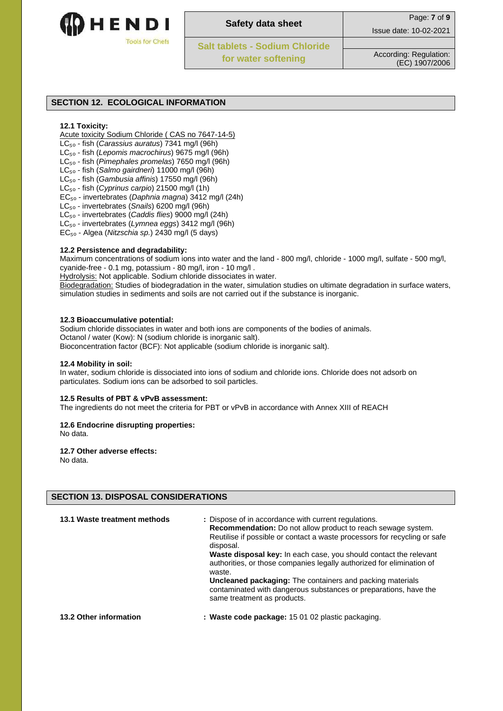

| ÷<br>×<br>ï<br>÷<br>۰<br>ï  | ٠<br>٠<br>$\overline{\phantom{a}}$<br>ï<br>$\overline{\mathbb{R}}$ |  |
|-----------------------------|--------------------------------------------------------------------|--|
| z<br>٠<br>1<br>٦<br>á<br>Ĩ. | ź<br>ï<br>ê<br>×<br>٠<br>x<br>÷,                                   |  |
| ż<br>ï<br>ì                 | ł<br>í<br>í                                                        |  |
|                             |                                                                    |  |
|                             |                                                                    |  |

| <b>Safety data sheet</b> | Page: 7 of 9 |
|--------------------------|--------------|
|                          | .            |

**Salt tablets - Sodium Chloride** 

Issue date: 10-02-2021

# **SECTION 12. ECOLOGICAL INFORMATION**

# **12.1 Toxicity:**

Acute toxicity Sodium Chloride ( CAS no 7647-14-5)

- LC₅ₒ fish (*Carassius auratus*) 7341 mg/l (96h)
- LC₅ₒ fish (*Lepomis macrochirus*) 9675 mg/l (96h)
- LC₅ₒ fish (*Pimephales promelas*) 7650 mg/l (96h)
- LC₅ₒ fish (*Salmo gairdneri*) 11000 mg/l (96h)
- LC₅ₒ fish (*Gambusia affinis*) 17550 mg/l (96h)
- LC₅ₒ fish (*Cyprinus carpio*) 21500 mg/l (1h)
- EC₅ₒ invertebrates (*Daphnia magna*) 3412 mg/l (24h)
- LC₅ₒ invertebrates (*Snails*) 6200 mg/l (96h)
- LC₅ₒ invertebrates (*Caddis flies*) 9000 mg/l (24h)
- LC₅ₒ invertebrates (*Lymnea eggs*) 3412 mg/l (96h)
- EC₅ₒ Algea (*Nitzschia sp.*) 2430 mg/l (5 days)

# **12.2 Persistence and degradability:**

Maximum concentrations of sodium ions into water and the land - 800 mg/l, chloride - 1000 mg/l, sulfate - 500 mg/l, cyanide-free - 0.1 mg, potassium - 80 mg/l, iron - 10 mg/l .

Hydrolysis: Not applicable. Sodium chloride dissociates in water.

Biodegradation: Studies of biodegradation in the water, simulation studies on ultimate degradation in surface waters, simulation studies in sediments and soils are not carried out if the substance is inorganic.

## **12.3 Bioaccumulative potential:**

Sodium chloride dissociates in water and both ions are components of the bodies of animals. Octanol / water (Kow): N (sodium chloride is inorganic salt). Bioconcentration factor (BCF): Not applicable (sodium chloride is inorganic salt).

#### **12.4 Mobility in soil:**

In water, sodium chloride is dissociated into ions of sodium and chloride ions. Chloride does not adsorb on particulates. Sodium ions can be adsorbed to soil particles.

# **12.5 Results of PBT & vPvB assessment:**

The ingredients do not meet the criteria for PBT or vPvB in accordance with Annex XIII of REACH

# **12.6 Endocrine disrupting properties:**

No data.

#### **12.7 Other adverse effects:**

No data.

# **SECTION 13. DISPOSAL CONSIDERATIONS**

| 13.1 Waste treatment methods | : Dispose of in accordance with current regulations.<br><b>Recommendation:</b> Do not allow product to reach sewage system.<br>Reutilise if possible or contact a waste processors for recycling or safe<br>disposal.<br><b>Waste disposal key:</b> In each case, you should contact the relevant<br>authorities, or those companies legally authorized for elimination of<br>waste.<br><b>Uncleaned packaging:</b> The containers and packing materials<br>contaminated with dangerous substances or preparations, have the<br>same treatment as products. |
|------------------------------|-------------------------------------------------------------------------------------------------------------------------------------------------------------------------------------------------------------------------------------------------------------------------------------------------------------------------------------------------------------------------------------------------------------------------------------------------------------------------------------------------------------------------------------------------------------|
| 13.2 Other information       | : Waste code package: 15 01 02 plastic packaging.                                                                                                                                                                                                                                                                                                                                                                                                                                                                                                           |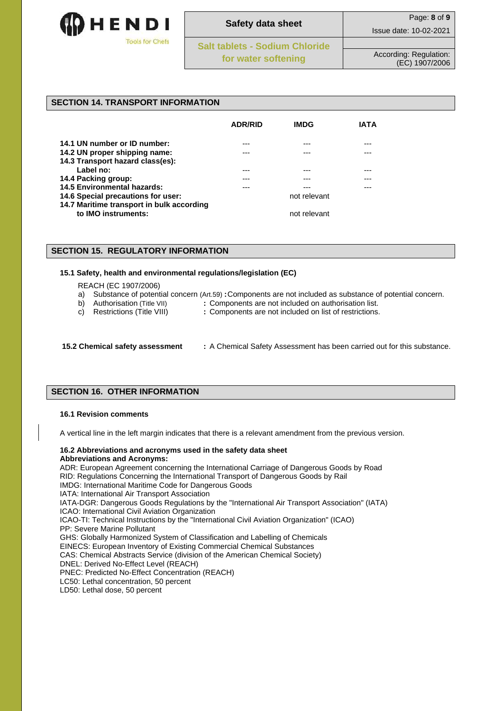

**Safety data sheet** Page: **8** of **9** Issue date: 10-02-2021 **Salt tablets - Sodium Chloride for water softening** According: Regulation: (EC) 1907/2006

## **SECTION 14. TRANSPORT INFORMATION**

|                                           | <b>ADR/RID</b> | <b>IMDG</b>  | IATA |
|-------------------------------------------|----------------|--------------|------|
| 14.1 UN number or ID number:              | ---            |              | ---  |
| 14.2 UN proper shipping name:             |                |              |      |
| 14.3 Transport hazard class(es):          |                |              |      |
| Label no:                                 | ---            | ---          | ---  |
| 14.4 Packing group:                       |                |              |      |
| <b>14.5 Environmental hazards:</b>        |                |              |      |
| 14.6 Special precautions for user:        |                | not relevant |      |
| 14.7 Maritime transport in bulk according |                |              |      |
| to IMO instruments:                       |                | not relevant |      |

## **SECTION 15. REGULATORY INFORMATION**

### **15.1 Safety, health and environmental regulations/legislation (EC)**

REACH (EC 1907/2006)

- a) Substance of potential concern (Art.59) **:**Components are not included as substance of potential concern.
- 
- b) Authorisation (Title VII) **:** Components are not included on authorisation list.
- 
- c) Restrictions (Title VIII) **:** Components are not included on list of restrictions.
- 
- **15.2 Chemical safety assessment :** A Chemical Safety Assessment has been carried out for this substance.

# **SECTION 16. OTHER INFORMATION**

#### **16.1 Revision comments**

A vertical line in the left margin indicates that there is a relevant amendment from the previous version.

#### **16.2 Abbreviations and acronyms used in the safety data sheet Abbreviations and Acronyms:**

ADR: European Agreement concerning the International Carriage of Dangerous Goods by Road RID: Regulations Concerning the International Transport of Dangerous Goods by Rail IMDG: International Maritime Code for Dangerous Goods IATA: International Air Transport Association IATA-DGR: Dangerous Goods Regulations by the "International Air Transport Association" (IATA) ICAO: International Civil Aviation Organization ICAO-TI: Technical Instructions by the "International Civil Aviation Organization" (ICAO) PP: Severe Marine Pollutant GHS: Globally Harmonized System of Classification and Labelling of Chemicals EINECS: European Inventory of Existing Commercial Chemical Substances CAS: Chemical Abstracts Service (division of the American Chemical Society) DNEL: Derived No-Effect Level (REACH) PNEC: Predicted No-Effect Concentration (REACH) LC50: Lethal concentration, 50 percent LD50: Lethal dose, 50 percent